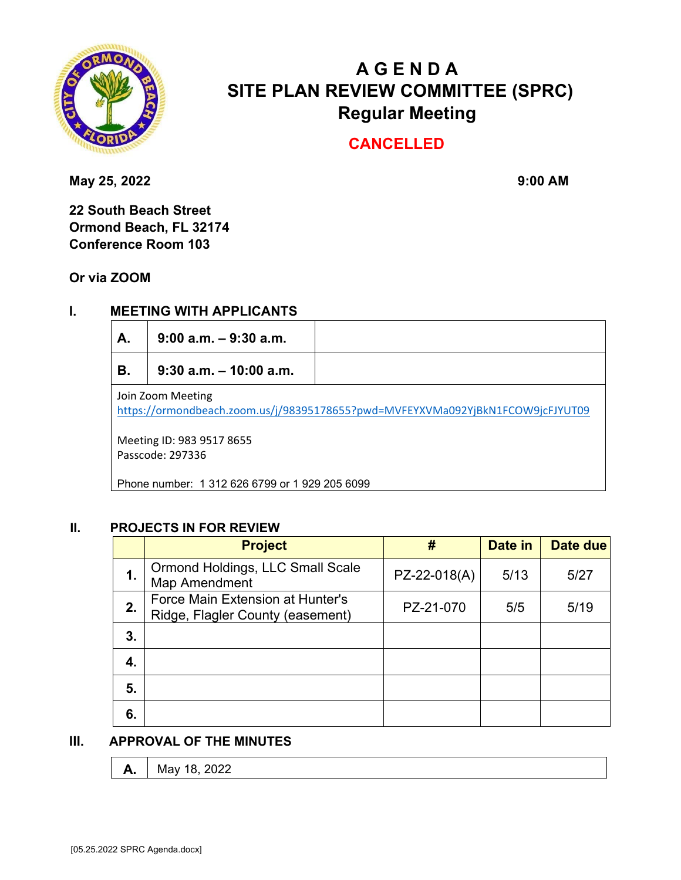

# **A G E N D A SITE PLAN REVIEW COMMITTEE (SPRC) Regular Meeting**

# **CANCELLED**

May 25, 2022 **9:00 AM** 

**22 South Beach Street Ormond Beach, FL 32174 Conference Room 103** 

**Or via ZOOM**

## **I. MEETING WITH APPLICANTS**

| А.                                                                                                  | $9:00$ a.m. $-9:30$ a.m.  |  |  |  |  |
|-----------------------------------------------------------------------------------------------------|---------------------------|--|--|--|--|
| В.                                                                                                  | $9:30$ a.m. $-10:00$ a.m. |  |  |  |  |
| Join Zoom Meeting<br>https://ormondbeach.zoom.us/j/98395178655?pwd=MVFEYXVMa092YjBkN1FCOW9jcFJYUT09 |                           |  |  |  |  |
| Meeting ID: 983 9517 8655<br>Passcode: 297336                                                       |                           |  |  |  |  |
| Phone number: 1 312 626 6799 or 1 929 205 6099                                                      |                           |  |  |  |  |

#### **II. PROJECTS IN FOR REVIEW**

|    | <b>Project</b>                                                       | #            | Date in | Date due |
|----|----------------------------------------------------------------------|--------------|---------|----------|
| 1. | Ormond Holdings, LLC Small Scale<br>Map Amendment                    | PZ-22-018(A) | 5/13    | 5/27     |
| 2. | Force Main Extension at Hunter's<br>Ridge, Flagler County (easement) | PZ-21-070    | 5/5     | 5/19     |
| 3. |                                                                      |              |         |          |
| 4. |                                                                      |              |         |          |
| 5. |                                                                      |              |         |          |
| 6. |                                                                      |              |         |          |

### **III. APPROVAL OF THE MINUTES**